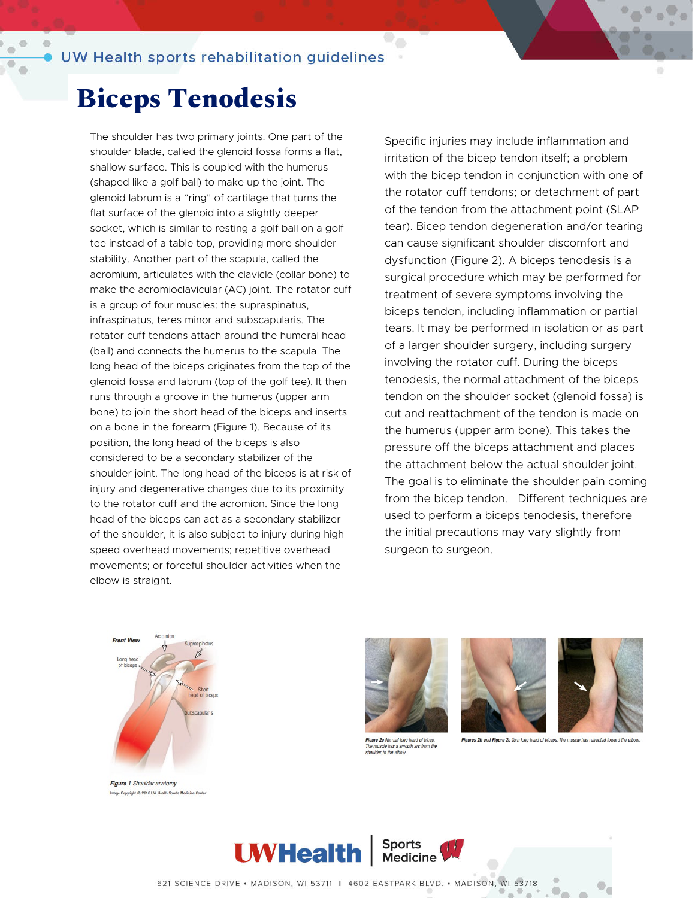#### **Biceps Tenodesis**

The shoulder has two primary joints. One part of the shoulder blade, called the glenoid fossa forms a flat, shallow surface. This is coupled with the humerus (shaped like a golf ball) to make up the joint. The glenoid labrum is a "ring" of cartilage that turns the flat surface of the glenoid into a slightly deeper socket, which is similar to resting a golf ball on a golf tee instead of a table top, providing more shoulder stability. Another part of the scapula, called the acromium, articulates with the clavicle (collar bone) to make the acromioclavicular (AC) joint. The rotator cuff is a group of four muscles: the supraspinatus, infraspinatus, teres minor and subscapularis. The rotator cuff tendons attach around the humeral head (ball) and connects the humerus to the scapula. The long head of the biceps originates from the top of the glenoid fossa and labrum (top of the golf tee). It then runs through a groove in the humerus (upper arm bone) to join the short head of the biceps and inserts on a bone in the forearm (Figure 1). Because of its position, the long head of the biceps is also considered to be a secondary stabilizer of the shoulder joint. The long head of the biceps is at risk of injury and degenerative changes due to its proximity to the rotator cuff and the acromion. Since the long head of the biceps can act as a secondary stabilizer of the shoulder, it is also subject to injury during high speed overhead movements; repetitive overhead movements; or forceful shoulder activities when the elbow is straight.

Specific injuries may include inflammation and irritation of the bicep tendon itself; a problem with the bicep tendon in conjunction with one of the rotator cuff tendons; or detachment of part of the tendon from the attachment point (SLAP tear). Bicep tendon degeneration and/or tearing can cause significant shoulder discomfort and dysfunction (Figure 2). A biceps tenodesis is a surgical procedure which may be performed for treatment of severe symptoms involving the biceps tendon, including inflammation or partial tears. It may be performed in isolation or as part of a larger shoulder surgery, including surgery involving the rotator cuff. During the biceps tenodesis, the normal attachment of the biceps tendon on the shoulder socket (glenoid fossa) is cut and reattachment of the tendon is made on the humerus (upper arm bone). This takes the pressure off the biceps attachment and places the attachment below the actual shoulder joint. The goal is to eliminate the shoulder pain coming from the bicep tendon. Different techniques are used to perform a biceps tenodesis, therefore the initial precautions may vary slightly from surgeon to surgeon.



Figure 1 Shoulder anatomy Image Copyright C 2010 UW Health Sports Medicine Center



۰.

Figure 2a Normal long head of bicep. The muscle has a smooth arc from the shoulder to the elbow





Figures 2b and Figure 2c Torn long head of biceps. The muscle has retracted to



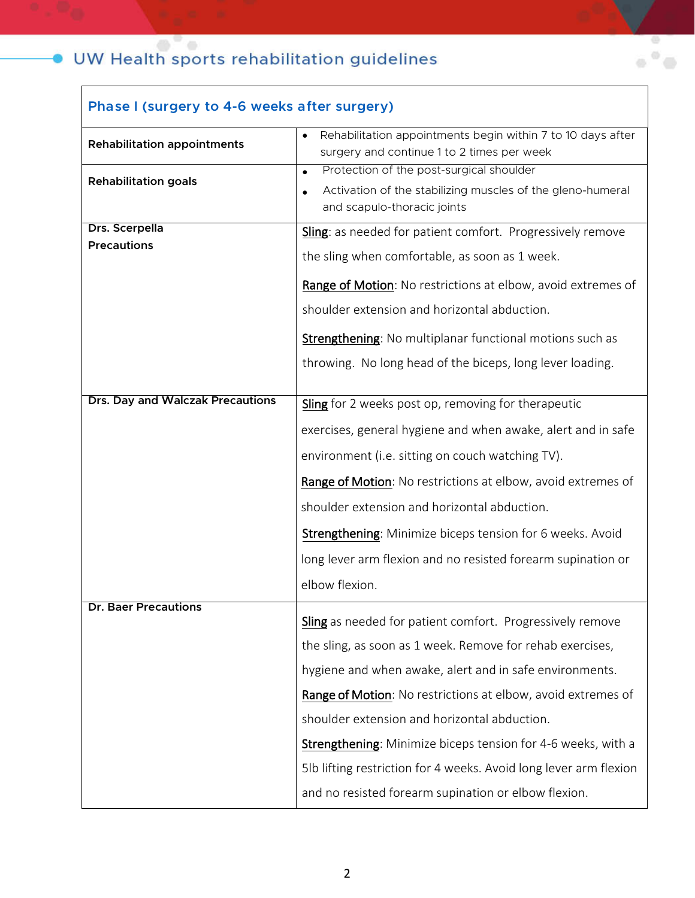| Phase I (surgery to 4-6 weeks after surgery) |                                                                                                                        |
|----------------------------------------------|------------------------------------------------------------------------------------------------------------------------|
| <b>Rehabilitation appointments</b>           | Rehabilitation appointments begin within 7 to 10 days after<br>$\bullet$<br>surgery and continue 1 to 2 times per week |
| <b>Rehabilitation goals</b>                  | Protection of the post-surgical shoulder<br>$\bullet$                                                                  |
|                                              | Activation of the stabilizing muscles of the gleno-humeral<br>and scapulo-thoracic joints                              |
| Drs. Scerpella                               | Sling: as needed for patient comfort. Progressively remove                                                             |
| <b>Precautions</b>                           | the sling when comfortable, as soon as 1 week.                                                                         |
|                                              | Range of Motion: No restrictions at elbow, avoid extremes of                                                           |
|                                              | shoulder extension and horizontal abduction.                                                                           |
|                                              | Strengthening: No multiplanar functional motions such as                                                               |
|                                              | throwing. No long head of the biceps, long lever loading.                                                              |
| <b>Drs. Day and Walczak Precautions</b>      | Sling for 2 weeks post op, removing for therapeutic                                                                    |
|                                              | exercises, general hygiene and when awake, alert and in safe                                                           |
|                                              | environment (i.e. sitting on couch watching TV).                                                                       |
|                                              | Range of Motion: No restrictions at elbow, avoid extremes of                                                           |
|                                              | shoulder extension and horizontal abduction.                                                                           |
|                                              | Strengthening: Minimize biceps tension for 6 weeks. Avoid                                                              |
|                                              | long lever arm flexion and no resisted forearm supination or                                                           |
|                                              | elbow flexion.                                                                                                         |
| Dr. Baer Precautions                         | Sling as needed for patient comfort. Progressively remove                                                              |
|                                              | the sling, as soon as 1 week. Remove for rehab exercises,                                                              |
|                                              | hygiene and when awake, alert and in safe environments.                                                                |
|                                              | Range of Motion: No restrictions at elbow, avoid extremes of                                                           |
|                                              | shoulder extension and horizontal abduction.                                                                           |
|                                              | Strengthening: Minimize biceps tension for 4-6 weeks, with a                                                           |
|                                              | 5lb lifting restriction for 4 weeks. Avoid long lever arm flexion                                                      |
|                                              | and no resisted forearm supination or elbow flexion.                                                                   |

 $\alpha$   $^0$   $\alpha$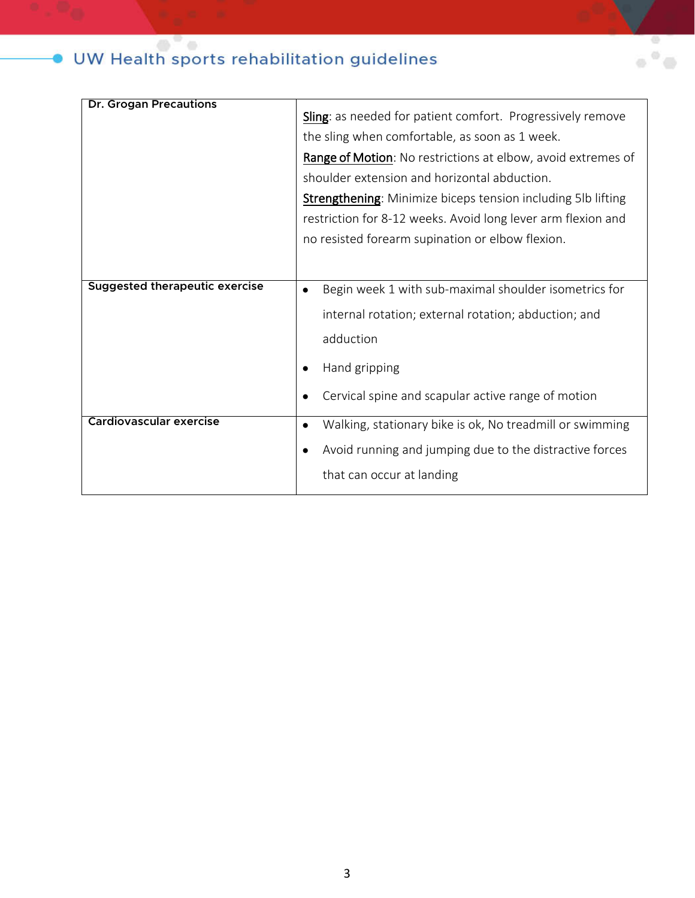| <b>Dr. Grogan Precautions</b>         |                                                                       |
|---------------------------------------|-----------------------------------------------------------------------|
|                                       | Sling: as needed for patient comfort. Progressively remove            |
|                                       | the sling when comfortable, as soon as 1 week.                        |
|                                       | Range of Motion: No restrictions at elbow, avoid extremes of          |
|                                       | shoulder extension and horizontal abduction.                          |
|                                       | <b>Strengthening:</b> Minimize biceps tension including 5lb lifting   |
|                                       | restriction for 8-12 weeks. Avoid long lever arm flexion and          |
|                                       | no resisted forearm supination or elbow flexion.                      |
|                                       |                                                                       |
|                                       |                                                                       |
| <b>Suggested therapeutic exercise</b> | Begin week 1 with sub-maximal shoulder isometrics for<br>$\bullet$    |
|                                       | internal rotation; external rotation; abduction; and                  |
|                                       | adduction                                                             |
|                                       | Hand gripping                                                         |
|                                       | Cervical spine and scapular active range of motion                    |
|                                       |                                                                       |
| <b>Cardiovascular exercise</b>        | Walking, stationary bike is ok, No treadmill or swimming<br>$\bullet$ |
|                                       | Avoid running and jumping due to the distractive forces               |
|                                       | that can occur at landing                                             |
|                                       |                                                                       |

 $\alpha^{\prime\prime}\equiv$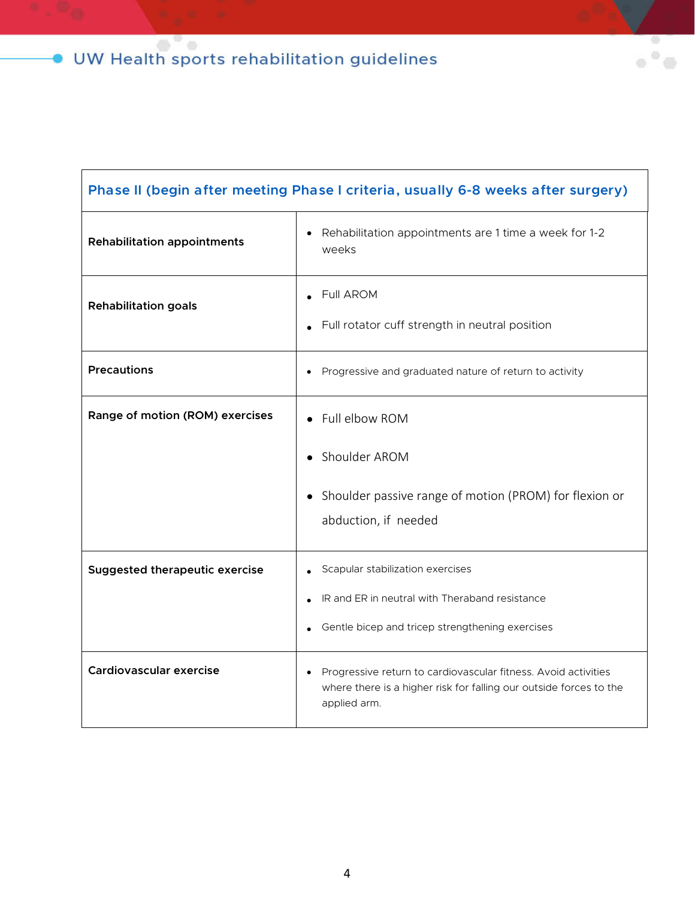#### **Phase II (begin after meeting Phase I criteria, usually 6-8 weeks after surgery)**

 $\alpha$   $^0$ 

| <b>Rehabilitation appointments</b>    | Rehabilitation appointments are 1 time a week for 1-2<br>weeks                                                                                       |
|---------------------------------------|------------------------------------------------------------------------------------------------------------------------------------------------------|
| <b>Rehabilitation goals</b>           | <b>Full AROM</b><br>Full rotator cuff strength in neutral position                                                                                   |
| <b>Precautions</b>                    | Progressive and graduated nature of return to activity                                                                                               |
| Range of motion (ROM) exercises       | Full elbow ROM                                                                                                                                       |
|                                       | Shoulder AROM                                                                                                                                        |
|                                       | Shoulder passive range of motion (PROM) for flexion or<br>abduction, if needed                                                                       |
| <b>Suggested therapeutic exercise</b> | Scapular stabilization exercises                                                                                                                     |
|                                       | IR and ER in neutral with Theraband resistance                                                                                                       |
|                                       | Gentle bicep and tricep strengthening exercises                                                                                                      |
| Cardiovascular exercise               | Progressive return to cardiovascular fitness. Avoid activities<br>where there is a higher risk for falling our outside forces to the<br>applied arm. |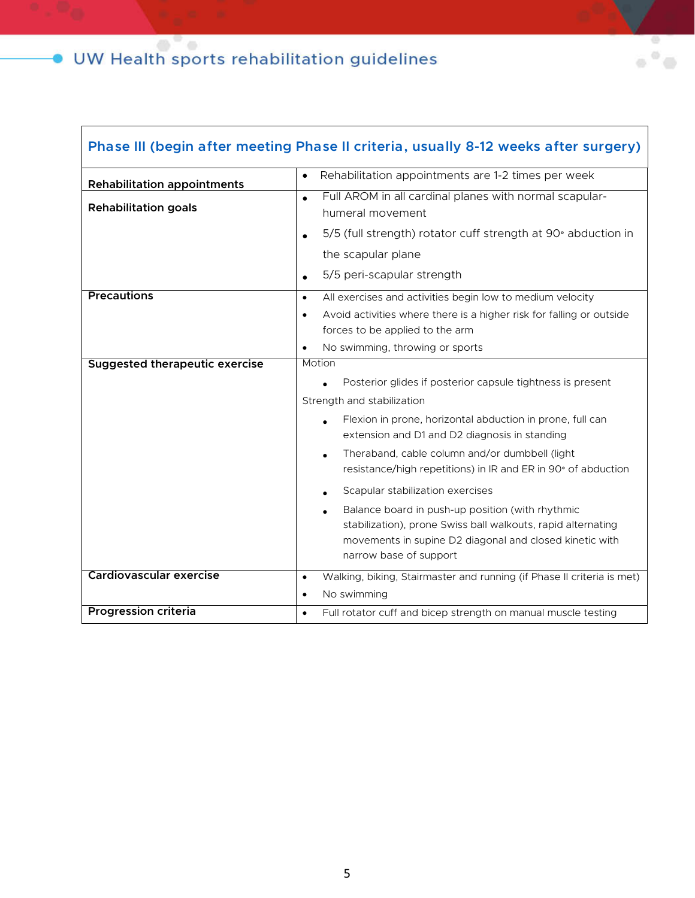Г

| Phase III (begin after meeting Phase II criteria, usually 8-12 weeks after surgery) |                                                                                                                                                                                                       |
|-------------------------------------------------------------------------------------|-------------------------------------------------------------------------------------------------------------------------------------------------------------------------------------------------------|
| <b>Rehabilitation appointments</b>                                                  | Rehabilitation appointments are 1-2 times per week<br>$\bullet$                                                                                                                                       |
| <b>Rehabilitation goals</b>                                                         | Full AROM in all cardinal planes with normal scapular-<br>$\bullet$<br>humeral movement                                                                                                               |
|                                                                                     | 5/5 (full strength) rotator cuff strength at 90° abduction in<br>$\bullet$                                                                                                                            |
|                                                                                     | the scapular plane                                                                                                                                                                                    |
|                                                                                     | 5/5 peri-scapular strength<br>$\bullet$                                                                                                                                                               |
| <b>Precautions</b>                                                                  | All exercises and activities begin low to medium velocity<br>$\bullet$                                                                                                                                |
|                                                                                     | Avoid activities where there is a higher risk for falling or outside<br>$\bullet$                                                                                                                     |
|                                                                                     | forces to be applied to the arm                                                                                                                                                                       |
|                                                                                     | No swimming, throwing or sports<br>$\bullet$                                                                                                                                                          |
| <b>Suggested therapeutic exercise</b>                                               | Motion                                                                                                                                                                                                |
|                                                                                     | Posterior glides if posterior capsule tightness is present                                                                                                                                            |
|                                                                                     | Strength and stabilization                                                                                                                                                                            |
|                                                                                     | Flexion in prone, horizontal abduction in prone, full can<br>extension and D1 and D2 diagnosis in standing                                                                                            |
|                                                                                     | Theraband, cable column and/or dumbbell (light<br>resistance/high repetitions) in IR and ER in 90° of abduction                                                                                       |
|                                                                                     | Scapular stabilization exercises                                                                                                                                                                      |
|                                                                                     | Balance board in push-up position (with rhythmic<br>stabilization), prone Swiss ball walkouts, rapid alternating<br>movements in supine D2 diagonal and closed kinetic with<br>narrow base of support |
| <b>Cardiovascular exercise</b>                                                      | Walking, biking, Stairmaster and running (if Phase II criteria is met)<br>$\bullet$                                                                                                                   |
|                                                                                     | No swimming<br>$\bullet$                                                                                                                                                                              |
| <b>Progression criteria</b>                                                         | Full rotator cuff and bicep strength on manual muscle testing<br>$\bullet$                                                                                                                            |

 $\alpha^0$  $\Rightarrow$ 

5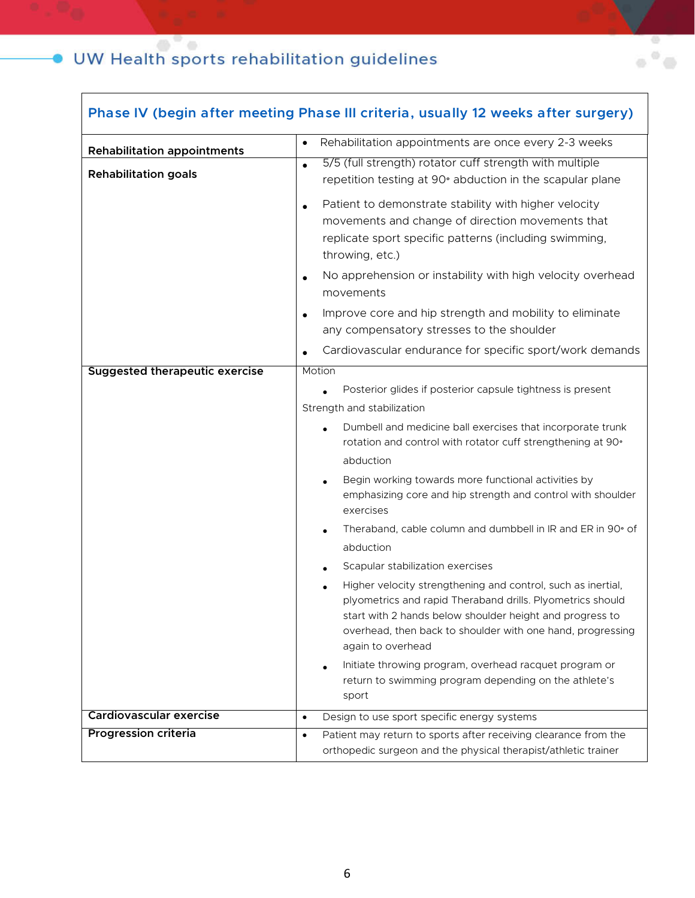| Phase IV (begin after meeting Phase III criteria, usually 12 weeks after surgery) |                                                                                                                                                                                                                                                                                        |  |
|-----------------------------------------------------------------------------------|----------------------------------------------------------------------------------------------------------------------------------------------------------------------------------------------------------------------------------------------------------------------------------------|--|
| <b>Rehabilitation appointments</b>                                                | Rehabilitation appointments are once every 2-3 weeks<br>$\bullet$                                                                                                                                                                                                                      |  |
| <b>Rehabilitation goals</b>                                                       | 5/5 (full strength) rotator cuff strength with multiple<br>$\bullet$<br>repetition testing at 90° abduction in the scapular plane                                                                                                                                                      |  |
|                                                                                   | Patient to demonstrate stability with higher velocity<br>$\bullet$<br>movements and change of direction movements that<br>replicate sport specific patterns (including swimming,<br>throwing, etc.)                                                                                    |  |
|                                                                                   | No apprehension or instability with high velocity overhead<br>$\bullet$<br>movements                                                                                                                                                                                                   |  |
|                                                                                   | Improve core and hip strength and mobility to eliminate<br>$\bullet$<br>any compensatory stresses to the shoulder                                                                                                                                                                      |  |
|                                                                                   | Cardiovascular endurance for specific sport/work demands                                                                                                                                                                                                                               |  |
| <b>Suggested therapeutic exercise</b>                                             | Motion<br>Posterior glides if posterior capsule tightness is present                                                                                                                                                                                                                   |  |
|                                                                                   | Strength and stabilization                                                                                                                                                                                                                                                             |  |
|                                                                                   | Dumbell and medicine ball exercises that incorporate trunk                                                                                                                                                                                                                             |  |
|                                                                                   | rotation and control with rotator cuff strengthening at 90°                                                                                                                                                                                                                            |  |
|                                                                                   | abduction                                                                                                                                                                                                                                                                              |  |
|                                                                                   | Begin working towards more functional activities by<br>emphasizing core and hip strength and control with shoulder<br>exercises                                                                                                                                                        |  |
|                                                                                   | Theraband, cable column and dumbbell in IR and ER in 90° of                                                                                                                                                                                                                            |  |
|                                                                                   | abduction                                                                                                                                                                                                                                                                              |  |
|                                                                                   | Scapular stabilization exercises                                                                                                                                                                                                                                                       |  |
|                                                                                   | Higher velocity strengthening and control, such as inertial,<br>$\bullet$<br>plyometrics and rapid Theraband drills. Plyometrics should<br>start with 2 hands below shoulder height and progress to<br>overhead, then back to shoulder with one hand, progressing<br>again to overhead |  |
|                                                                                   | Initiate throwing program, overhead racquet program or<br>$\bullet$<br>return to swimming program depending on the athlete's<br>sport                                                                                                                                                  |  |
| Cardiovascular exercise                                                           | Design to use sport specific energy systems<br>$\bullet$                                                                                                                                                                                                                               |  |
| <b>Progression criteria</b>                                                       | Patient may return to sports after receiving clearance from the<br>$\bullet$<br>orthopedic surgeon and the physical therapist/athletic trainer                                                                                                                                         |  |

 $\alpha$   $^{\rm o}$   $\alpha$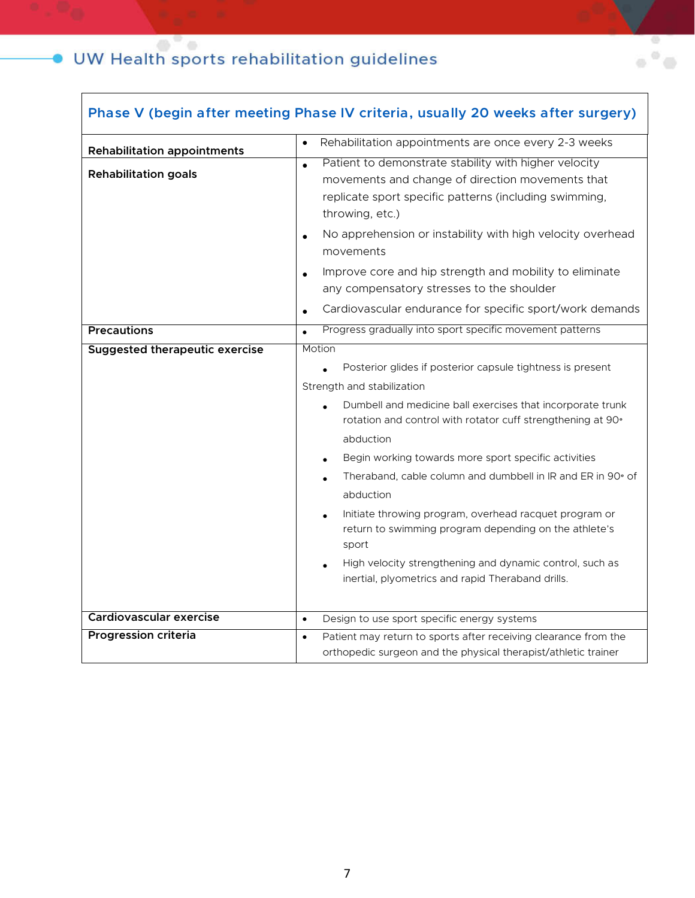$\overline{\phantom{a}}$ 

| Phase V (begin after meeting Phase IV criteria, usually 20 weeks after surgery) |                                                                                                                                                                                                     |
|---------------------------------------------------------------------------------|-----------------------------------------------------------------------------------------------------------------------------------------------------------------------------------------------------|
| <b>Rehabilitation appointments</b>                                              | Rehabilitation appointments are once every 2-3 weeks<br>$\bullet$                                                                                                                                   |
| <b>Rehabilitation goals</b>                                                     | Patient to demonstrate stability with higher velocity<br>$\bullet$<br>movements and change of direction movements that<br>replicate sport specific patterns (including swimming,<br>throwing, etc.) |
|                                                                                 | No apprehension or instability with high velocity overhead<br>$\bullet$<br>movements                                                                                                                |
|                                                                                 | Improve core and hip strength and mobility to eliminate<br>$\bullet$<br>any compensatory stresses to the shoulder                                                                                   |
|                                                                                 | Cardiovascular endurance for specific sport/work demands<br>$\bullet$                                                                                                                               |
| <b>Precautions</b>                                                              | Progress gradually into sport specific movement patterns<br>$\bullet$                                                                                                                               |
| <b>Suggested therapeutic exercise</b>                                           | Motion                                                                                                                                                                                              |
|                                                                                 | Posterior glides if posterior capsule tightness is present                                                                                                                                          |
|                                                                                 | Strength and stabilization                                                                                                                                                                          |
|                                                                                 | Dumbell and medicine ball exercises that incorporate trunk<br>rotation and control with rotator cuff strengthening at 90°                                                                           |
|                                                                                 | abduction                                                                                                                                                                                           |
|                                                                                 | Begin working towards more sport specific activities                                                                                                                                                |
|                                                                                 | Theraband, cable column and dumbbell in IR and ER in 90° of<br>abduction                                                                                                                            |
|                                                                                 | Initiate throwing program, overhead racquet program or<br>return to swimming program depending on the athlete's<br>sport                                                                            |
|                                                                                 | High velocity strengthening and dynamic control, such as<br>inertial, plyometrics and rapid Theraband drills.                                                                                       |
| <b>Cardiovascular exercise</b>                                                  | Design to use sport specific energy systems<br>$\bullet$                                                                                                                                            |
| <b>Progression criteria</b>                                                     | Patient may return to sports after receiving clearance from the<br>$\bullet$<br>orthopedic surgeon and the physical therapist/athletic trainer                                                      |

 $\alpha$   $^0$   $\alpha$